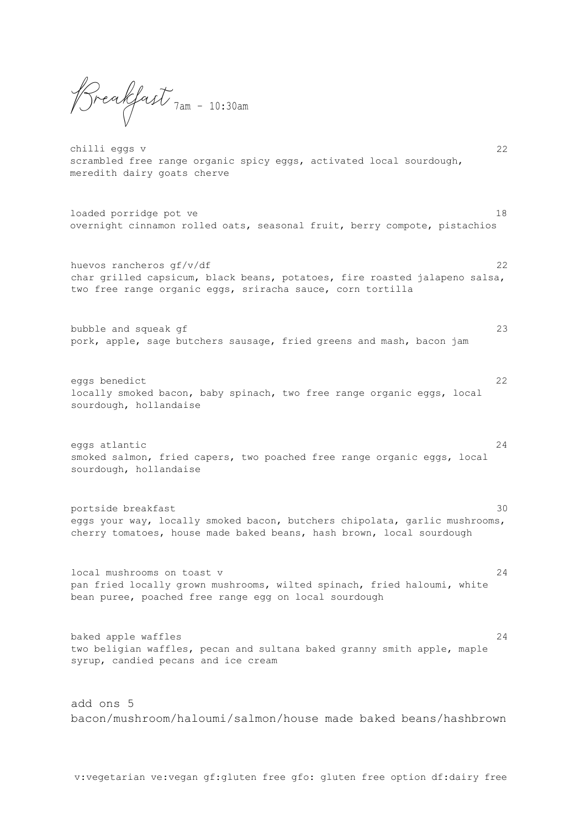Breakfast 7am – 10:30am

chilli eggs v 22 scrambled free range organic spicy eggs, activated local sourdough, meredith dairy goats cherve

loaded porridge pot ve 18 overnight cinnamon rolled oats, seasonal fruit, berry compote, pistachios

huevos rancheros gf/v/df 22 char grilled capsicum, black beans, potatoes, fire roasted jalapeno salsa, two free range organic eggs, sriracha sauce, corn tortilla

bubble and squeak gf 23 pork, apple, sage butchers sausage, fried greens and mash, bacon jam

eggs benedict 22 locally smoked bacon, baby spinach, two free range organic eggs, local sourdough, hollandaise

eggs atlantic 24 smoked salmon, fried capers, two poached free range organic eggs, local sourdough, hollandaise

portside breakfast 30 eggs your way, locally smoked bacon, butchers chipolata, garlic mushrooms, cherry tomatoes, house made baked beans, hash brown, local sourdough

local mushrooms on toast v 24 pan fried locally grown mushrooms, wilted spinach, fried haloumi, white bean puree, poached free range egg on local sourdough

baked apple waffles 24 two beligian waffles, pecan and sultana baked granny smith apple, maple syrup, candied pecans and ice cream

add ons 5 bacon/mushroom/haloumi/salmon/house made baked beans/hashbrown

v:vegetarian ve:vegan gf:gluten free gfo: gluten free option df:dairy free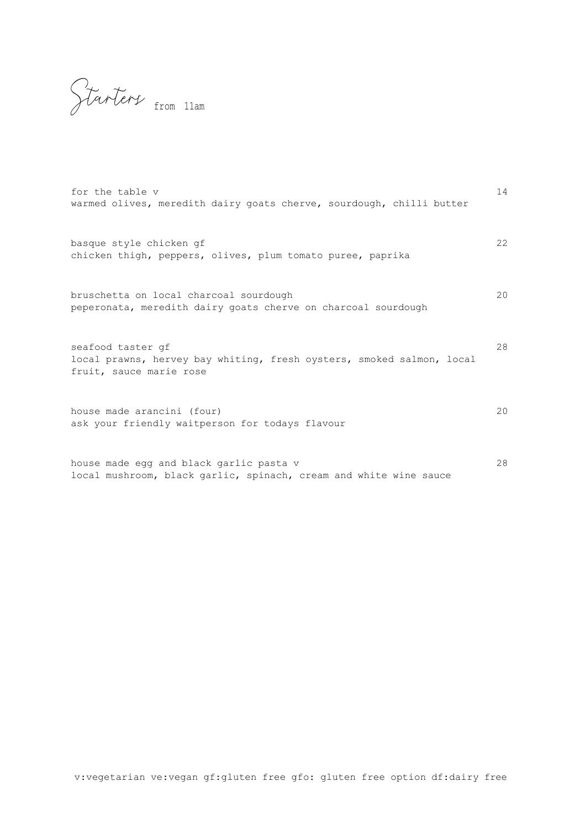Starters from 11am

| for the table v<br>warmed olives, meredith dairy goats cherve, sourdough, chilli butter                                                                                                          | 14 |
|--------------------------------------------------------------------------------------------------------------------------------------------------------------------------------------------------|----|
| basque style chicken qf<br>chicken thigh, peppers, olives, plum tomato puree, paprika<br>bruschetta on local charcoal sourdough<br>peperonata, meredith dairy goats cherve on charcoal sourdough | 22 |
|                                                                                                                                                                                                  | 20 |
| seafood taster qf                                                                                                                                                                                | 28 |

fruit, sauce marie rose

local prawns, hervey bay whiting, fresh oysters, smoked salmon, local

house made arancini (four) 20 ask your friendly waitperson for todays flavour

house made egg and black garlic pasta v 28 local mushroom, black garlic, spinach, cream and white wine sauce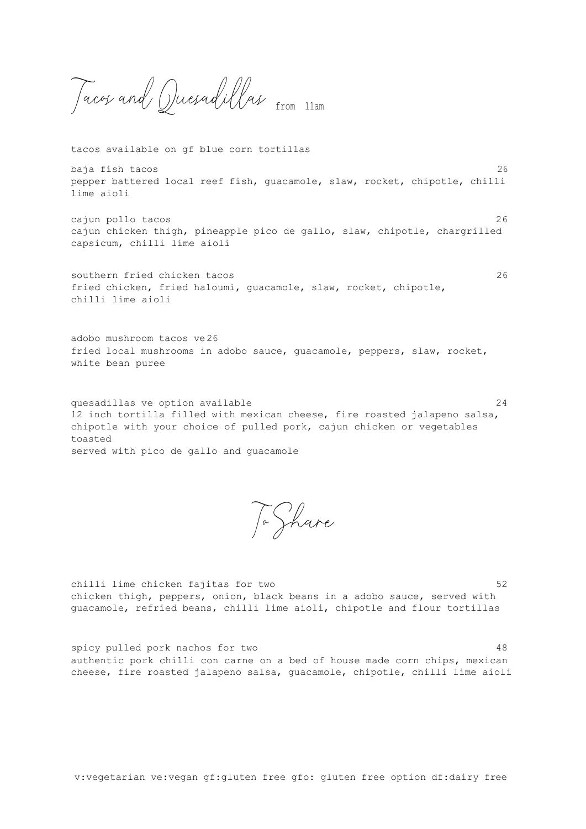Tacos and Quesadillas from 11am

tacos available on gf blue corn tortillas

baja fish tacos 26 pepper battered local reef fish, guacamole, slaw, rocket, chipotle, chilli lime aioli

cajun pollo tacos 26 cajun chicken thigh, pineapple pico de gallo, slaw, chipotle, chargrilled capsicum, chilli lime aioli

southern fried chicken tacos 26 fried chicken, fried haloumi, guacamole, slaw, rocket, chipotle, chilli lime aioli

adobo mushroom tacos ve26 fried local mushrooms in adobo sauce, guacamole, peppers, slaw, rocket, white bean puree

quesadillas ve option available  $24$ 12 inch tortilla filled with mexican cheese, fire roasted jalapeno salsa, chipotle with your choice of pulled pork, cajun chicken or vegetables toasted served with pico de gallo and guacamole

To Share

chilli lime chicken fajitas for two 52 chicken thigh, peppers, onion, black beans in a adobo sauce, served with guacamole, refried beans, chilli lime aioli, chipotle and flour tortillas

spicy pulled pork nachos for two  $48$ authentic pork chilli con carne on a bed of house made corn chips, mexican cheese, fire roasted jalapeno salsa, guacamole, chipotle, chilli lime aioli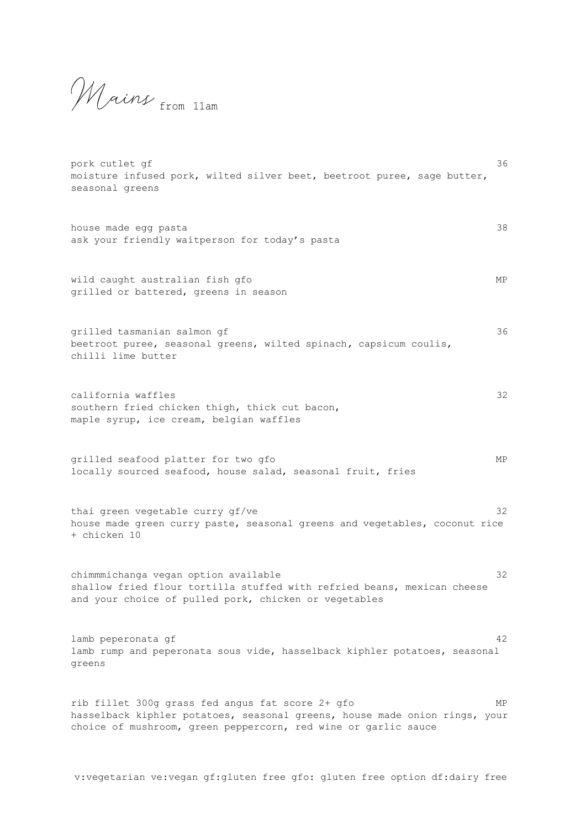Mains from 11am

| pork cutlet gf<br>moisture infused pork, wilted silver beet, beetroot puree, sage butter,<br>seasonal greens                                                                                     | 36 |
|--------------------------------------------------------------------------------------------------------------------------------------------------------------------------------------------------|----|
| house made egg pasta<br>ask your friendly waitperson for today's pasta                                                                                                                           | 38 |
| wild caught australian fish gfo<br>grilled or battered, greens in season                                                                                                                         | МP |
| grilled tasmanian salmon gf<br>beetroot puree, seasonal greens, wilted spinach, capsicum coulis,<br>chilli lime butter                                                                           | 36 |
| california waffles<br>southern fried chicken thigh, thick cut bacon,<br>maple syrup, ice cream, belgian waffles                                                                                  | 32 |
| grilled seafood platter for two gfo<br>locally sourced seafood, house salad, seasonal fruit, fries                                                                                               | МP |
| thai green vegetable curry gf/ve<br>house made green curry paste, seasonal greens and vegetables, coconut rice<br>+ chicken 10                                                                   | 32 |
| chimmmichanga vegan option available<br>shallow fried flour tortilla stuffed with refried beans, mexican cheese<br>and your choice of pulled pork, chicken or vegetables                         | 32 |
| lamb peperonata qf<br>lamb rump and peperonata sous vide, hasselback kiphler potatoes, seasonal<br>greens                                                                                        | 42 |
| rib fillet 300g grass fed angus fat score 2+ gfo<br>hasselback kiphler potatoes, seasonal greens, house made onion rings, your<br>choice of mushroom, green peppercorn, red wine or garlic sauce | МP |

v:vegetarian ve:vegan gf:gluten free gfo: gluten free option df:dairy free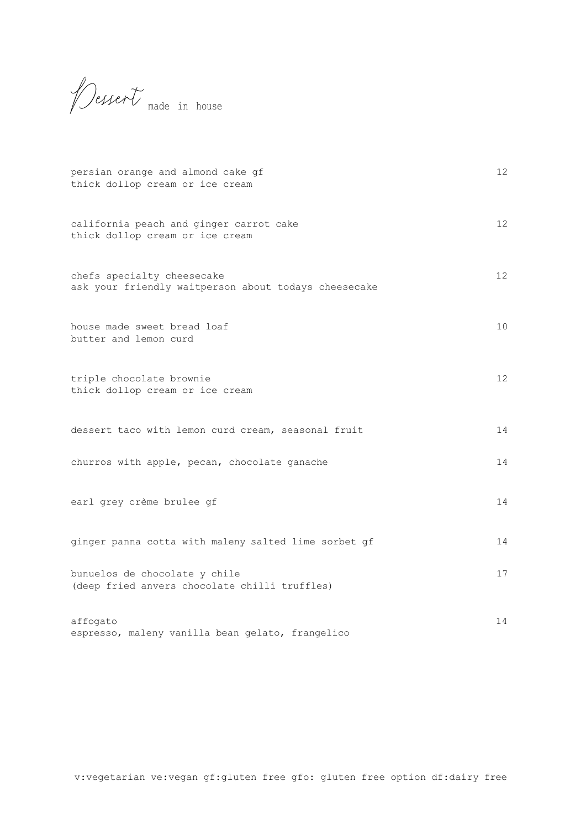Dessert made in house

| persian orange and almond cake gf<br>thick dollop cream or ice cream               | 12              |
|------------------------------------------------------------------------------------|-----------------|
| california peach and ginger carrot cake<br>thick dollop cream or ice cream         | 12              |
| chefs specialty cheesecake<br>ask your friendly waitperson about todays cheesecake | 12 <sup>°</sup> |
| house made sweet bread loaf<br>butter and lemon curd                               | 10              |
| triple chocolate brownie<br>thick dollop cream or ice cream                        | 12 <sup>°</sup> |
| dessert taco with lemon curd cream, seasonal fruit                                 | 14              |
| churros with apple, pecan, chocolate ganache                                       | 14              |
| earl grey crème brulee gf                                                          | 14              |
| ginger panna cotta with maleny salted lime sorbet gf                               | 14              |
| bunuelos de chocolate y chile<br>(deep fried anvers chocolate chilli truffles)     | 17              |
| affogato<br>espresso, maleny vanilla bean gelato, frangelico                       | 14              |